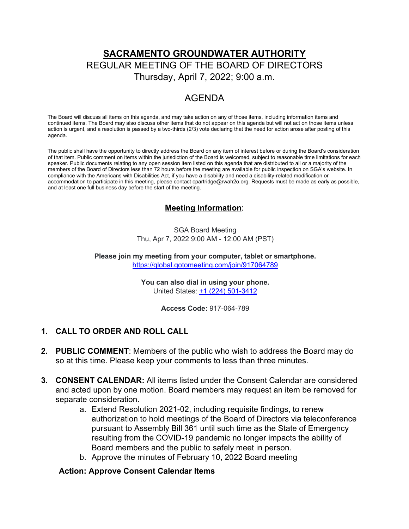# **SACRAMENTO GROUNDWATER AUTHORITY** REGULAR MEETING OF THE BOARD OF DIRECTORS Thursday, April 7, 2022; 9:00 a.m.

# AGENDA

The Board will discuss all items on this agenda, and may take action on any of those items, including information items and continued items. The Board may also discuss other items that do not appear on this agenda but will not act on those items unless action is urgent, and a resolution is passed by a two-thirds (2/3) vote declaring that the need for action arose after posting of this agenda.

The public shall have the opportunity to directly address the Board on any item of interest before or during the Board's consideration of that item. Public comment on items within the jurisdiction of the Board is welcomed, subject to reasonable time limitations for each speaker. Public documents relating to any open session item listed on this agenda that are distributed to all or a majority of the members of the Board of Directors less than 72 hours before the meeting are available for public inspection on SGA's website. In compliance with the Americans with Disabilities Act, if you have a disability and need a disability-related modification or accommodation to participate in this meeting, please contact cpartridge@rwah2o.org. Requests must be made as early as possible, and at least one full business day before the start of the meeting.

## **Meeting Information**:

SGA Board Meeting Thu, Apr 7, 2022 9:00 AM - 12:00 AM (PST)

#### **Please join my meeting from your computer, tablet or smartphone.** [https://global.gotomeeting.com/join/9](https://global.gotomeeting.com/join/)17064789

**You can also dial in using your phone.** United States: [+1 \(224\) 501-3412](tel:+16692243412,,579295917)

**Access Code:** 917-064-789

#### **1. CALL TO ORDER AND ROLL CALL**

- **2. PUBLIC COMMENT**: Members of the public who wish to address the Board may do so at this time. Please keep your comments to less than three minutes.
- **3. CONSENT CALENDAR:** All items listed under the Consent Calendar are considered and acted upon by one motion. Board members may request an item be removed for separate consideration.
	- a. Extend Resolution 2021-02, including requisite findings, to renew authorization to hold meetings of the Board of Directors via teleconference pursuant to Assembly Bill 361 until such time as the State of Emergency resulting from the COVID-19 pandemic no longer impacts the ability of Board members and the public to safely meet in person.
	- b. Approve the minutes of February 10, 2022 Board meeting

#### **Action: Approve Consent Calendar Items**